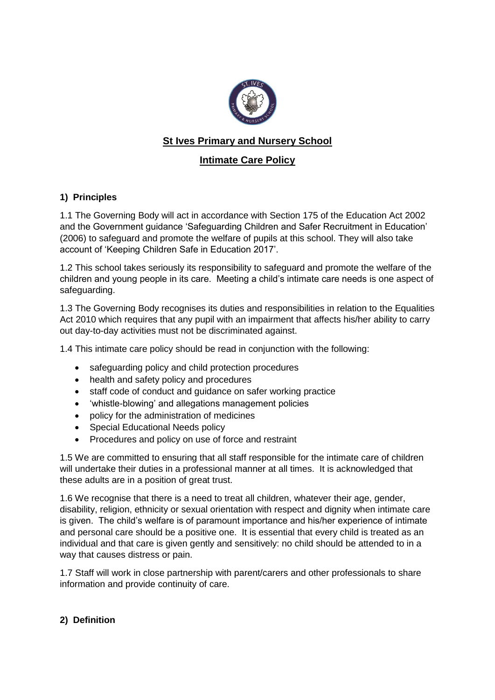

# **St Ives Primary and Nursery School**

## **Intimate Care Policy**

### **1) Principles**

1.1 The Governing Body will act in accordance with Section 175 of the Education Act 2002 and the Government guidance 'Safeguarding Children and Safer Recruitment in Education' (2006) to safeguard and promote the welfare of pupils at this school. They will also take account of 'Keeping Children Safe in Education 2017'.

1.2 This school takes seriously its responsibility to safeguard and promote the welfare of the children and young people in its care. Meeting a child's intimate care needs is one aspect of safeguarding.

1.3 The Governing Body recognises its duties and responsibilities in relation to the Equalities Act 2010 which requires that any pupil with an impairment that affects his/her ability to carry out day-to-day activities must not be discriminated against.

1.4 This intimate care policy should be read in conjunction with the following:

- safeguarding policy and child protection procedures
- health and safety policy and procedures
- staff code of conduct and quidance on safer working practice
- 'whistle-blowing' and allegations management policies
- policy for the administration of medicines
- Special Educational Needs policy
- Procedures and policy on use of force and restraint

1.5 We are committed to ensuring that all staff responsible for the intimate care of children will undertake their duties in a professional manner at all times. It is acknowledged that these adults are in a position of great trust.

1.6 We recognise that there is a need to treat all children, whatever their age, gender, disability, religion, ethnicity or sexual orientation with respect and dignity when intimate care is given. The child's welfare is of paramount importance and his/her experience of intimate and personal care should be a positive one. It is essential that every child is treated as an individual and that care is given gently and sensitively: no child should be attended to in a way that causes distress or pain.

1.7 Staff will work in close partnership with parent/carers and other professionals to share information and provide continuity of care.

#### **2) Definition**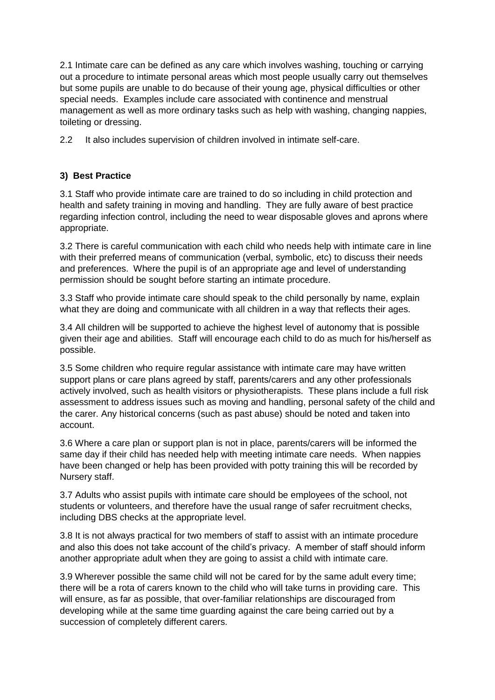2.1 Intimate care can be defined as any care which involves washing, touching or carrying out a procedure to intimate personal areas which most people usually carry out themselves but some pupils are unable to do because of their young age, physical difficulties or other special needs. Examples include care associated with continence and menstrual management as well as more ordinary tasks such as help with washing, changing nappies, toileting or dressing.

2.2 It also includes supervision of children involved in intimate self-care.

### **3) Best Practice**

3.1 Staff who provide intimate care are trained to do so including in child protection and health and safety training in moving and handling. They are fully aware of best practice regarding infection control, including the need to wear disposable gloves and aprons where appropriate.

3.2 There is careful communication with each child who needs help with intimate care in line with their preferred means of communication (verbal, symbolic, etc) to discuss their needs and preferences. Where the pupil is of an appropriate age and level of understanding permission should be sought before starting an intimate procedure.

3.3 Staff who provide intimate care should speak to the child personally by name, explain what they are doing and communicate with all children in a way that reflects their ages.

3.4 All children will be supported to achieve the highest level of autonomy that is possible given their age and abilities. Staff will encourage each child to do as much for his/herself as possible.

3.5 Some children who require regular assistance with intimate care may have written support plans or care plans agreed by staff, parents/carers and any other professionals actively involved, such as health visitors or physiotherapists. These plans include a full risk assessment to address issues such as moving and handling, personal safety of the child and the carer. Any historical concerns (such as past abuse) should be noted and taken into account.

3.6 Where a care plan or support plan is not in place, parents/carers will be informed the same day if their child has needed help with meeting intimate care needs. When nappies have been changed or help has been provided with potty training this will be recorded by Nursery staff.

3.7 Adults who assist pupils with intimate care should be employees of the school, not students or volunteers, and therefore have the usual range of safer recruitment checks, including DBS checks at the appropriate level.

3.8 It is not always practical for two members of staff to assist with an intimate procedure and also this does not take account of the child's privacy. A member of staff should inform another appropriate adult when they are going to assist a child with intimate care.

3.9 Wherever possible the same child will not be cared for by the same adult every time; there will be a rota of carers known to the child who will take turns in providing care. This will ensure, as far as possible, that over-familiar relationships are discouraged from developing while at the same time guarding against the care being carried out by a succession of completely different carers.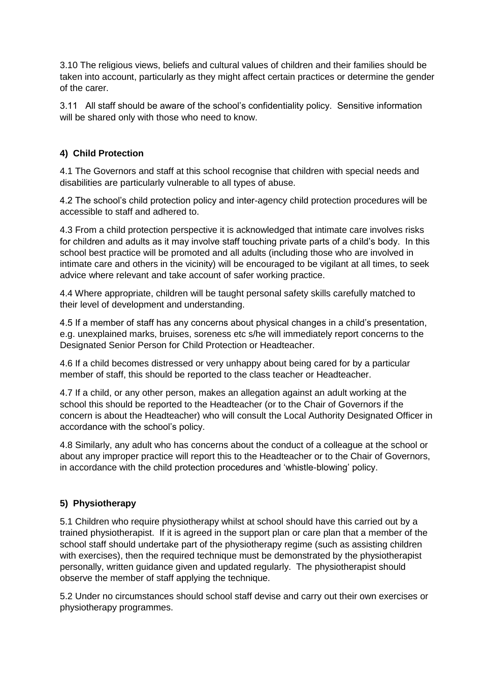3.10 The religious views, beliefs and cultural values of children and their families should be taken into account, particularly as they might affect certain practices or determine the gender of the carer.

3.11 All staff should be aware of the school's confidentiality policy. Sensitive information will be shared only with those who need to know.

### **4) Child Protection**

4.1 The Governors and staff at this school recognise that children with special needs and disabilities are particularly vulnerable to all types of abuse.

4.2 The school's child protection policy and inter-agency child protection procedures will be accessible to staff and adhered to.

4.3 From a child protection perspective it is acknowledged that intimate care involves risks for children and adults as it may involve staff touching private parts of a child's body. In this school best practice will be promoted and all adults (including those who are involved in intimate care and others in the vicinity) will be encouraged to be vigilant at all times, to seek advice where relevant and take account of safer working practice.

4.4 Where appropriate, children will be taught personal safety skills carefully matched to their level of development and understanding.

4.5 If a member of staff has any concerns about physical changes in a child's presentation, e.g. unexplained marks, bruises, soreness etc s/he will immediately report concerns to the Designated Senior Person for Child Protection or Headteacher.

4.6 If a child becomes distressed or very unhappy about being cared for by a particular member of staff, this should be reported to the class teacher or Headteacher.

4.7 If a child, or any other person, makes an allegation against an adult working at the school this should be reported to the Headteacher (or to the Chair of Governors if the concern is about the Headteacher) who will consult the Local Authority Designated Officer in accordance with the school's policy.

4.8 Similarly, any adult who has concerns about the conduct of a colleague at the school or about any improper practice will report this to the Headteacher or to the Chair of Governors, in accordance with the child protection procedures and 'whistle-blowing' policy.

### **5) Physiotherapy**

5.1 Children who require physiotherapy whilst at school should have this carried out by a trained physiotherapist. If it is agreed in the support plan or care plan that a member of the school staff should undertake part of the physiotherapy regime (such as assisting children with exercises), then the required technique must be demonstrated by the physiotherapist personally, written guidance given and updated regularly. The physiotherapist should observe the member of staff applying the technique.

5.2 Under no circumstances should school staff devise and carry out their own exercises or physiotherapy programmes.